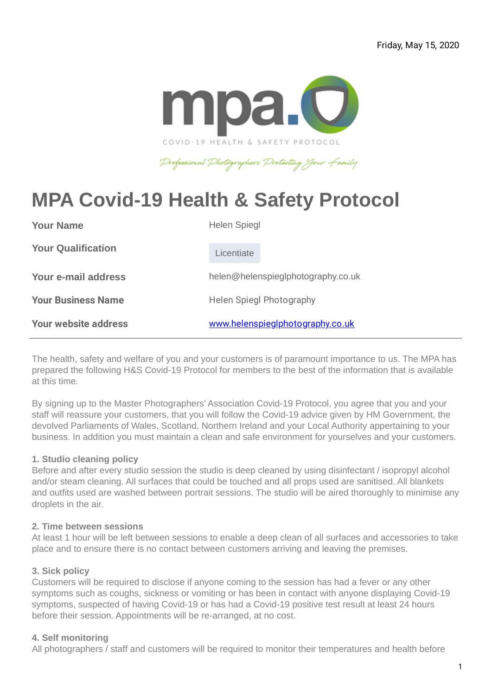

## Professional Photographers Protecting Jour Family

# **MPA Covid-19 Health & Safety Protocol**

| <b>Your Name</b>            | <b>Helen Spiegl</b>                |
|-----------------------------|------------------------------------|
| <b>Your Qualification</b>   | Licentiate                         |
| Your e-mail address         | helen@helenspieglphotography.co.uk |
| <b>Your Business Name</b>   | <b>Helen Spiegl Photography</b>    |
| <b>Your website address</b> | www.helenspieglphotography.co.uk   |

The health, safety and welfare of you and your customers is of paramount importance to us. The MPA has prepared the following H&S Covid-19 Protocol for members to the best of the information that is available at this time.

By signing up to the Master Photographers' Association Covid-19 Protocol, you agree that you and your staff will reassure your customers, that you will follow the Covid-19 advice given by HM Government, the devolved Parliaments of Wales, Scotland, Northern Ireland and your Local Authority appertaining to your business. In addition you must maintain a clean and safe environment for yourselves and your customers.

#### **1. Studio cleaning policy**

Before and after every studio session the studio is deep cleaned by using disinfectant / isopropyl alcohol and/or steam cleaning. All surfaces that could be touched and all props used are sanitised. All blankets and outfits used are washed between portrait sessions. The studio will be aired thoroughly to minimise any droplets in the air.

#### **2. Time between sessions**

At least 1 hour will be left between sessions to enable a deep clean of all surfaces and accessories to take place and to ensure there is no contact between customers arriving and leaving the premises.

#### **3. Sick policy**

Customers will be required to disclose if anyone coming to the session has had a fever or any other symptoms such as coughs, sickness or vomiting or has been in contact with anyone displaying Covid-19 symptoms, suspected of having Covid-19 or has had a Covid-19 positive test result at least 24 hours before their session. Appointments will be re-arranged, at no cost.

#### **4. Self monitoring**

All photographers / staff and customers will be required to monitor their temperatures and health before